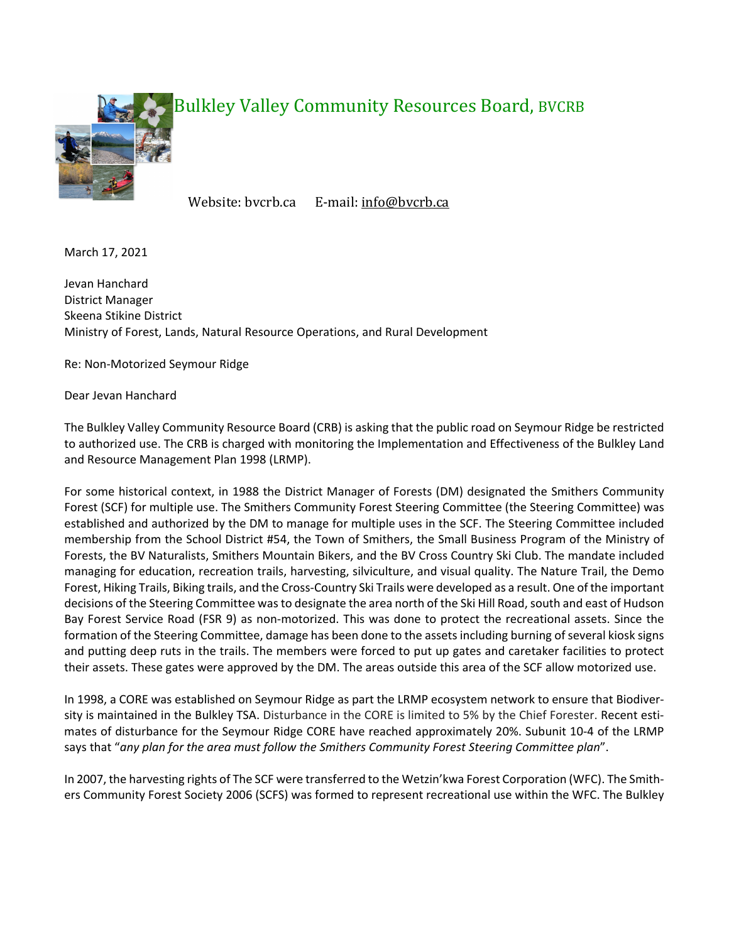

## Bulkley Valley Community Resources Board, BVCRB

Website: bvcrb.ca E-mail: info@bvcrb.ca

March 17, 2021

Jevan Hanchard District Manager Skeena Stikine District Ministry of Forest, Lands, Natural Resource Operations, and Rural Development

Re: Non-Motorized Seymour Ridge

Dear Jevan Hanchard

The Bulkley Valley Community Resource Board (CRB) is asking that the public road on Seymour Ridge be restricted to authorized use. The CRB is charged with monitoring the Implementation and Effectiveness of the Bulkley Land and Resource Management Plan 1998 (LRMP).

For some historical context, in 1988 the District Manager of Forests (DM) designated the Smithers Community Forest (SCF) for multiple use. The Smithers Community Forest Steering Committee (the Steering Committee) was established and authorized by the DM to manage for multiple uses in the SCF. The Steering Committee included membership from the School District #54, the Town of Smithers, the Small Business Program of the Ministry of Forests, the BV Naturalists, Smithers Mountain Bikers, and the BV Cross Country Ski Club. The mandate included managing for education, recreation trails, harvesting, silviculture, and visual quality. The Nature Trail, the Demo Forest, Hiking Trails, Biking trails, and the Cross-Country Ski Trails were developed as a result. One of the important decisions of the Steering Committee was to designate the area north of the Ski Hill Road, south and east of Hudson Bay Forest Service Road (FSR 9) as non-motorized. This was done to protect the recreational assets. Since the formation of the Steering Committee, damage has been done to the assets including burning of several kiosk signs and putting deep ruts in the trails. The members were forced to put up gates and caretaker facilities to protect their assets. These gates were approved by the DM. The areas outside this area of the SCF allow motorized use.

In 1998, a CORE was established on Seymour Ridge as part the LRMP ecosystem network to ensure that Biodiversity is maintained in the Bulkley TSA. Disturbance in the CORE is limited to 5% by the Chief Forester. Recent estimates of disturbance for the Seymour Ridge CORE have reached approximately 20%. Subunit 10-4 of the LRMP says that "*any plan for the area must follow the Smithers Community Forest Steering Committee plan*".

In 2007, the harvesting rights of The SCF were transferred to the Wetzin'kwa Forest Corporation (WFC). The Smithers Community Forest Society 2006 (SCFS) was formed to represent recreational use within the WFC. The Bulkley